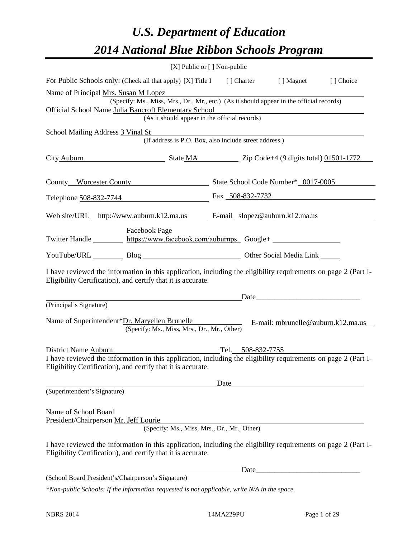## *U.S. Department of Education 2014 National Blue Ribbon Schools Program*

|                                                               | [X] Public or [] Non-public                                                                                                                                                                                                                                                                                                                                                                                                               |                   |                                                                                                                                                                                                                               |  |
|---------------------------------------------------------------|-------------------------------------------------------------------------------------------------------------------------------------------------------------------------------------------------------------------------------------------------------------------------------------------------------------------------------------------------------------------------------------------------------------------------------------------|-------------------|-------------------------------------------------------------------------------------------------------------------------------------------------------------------------------------------------------------------------------|--|
|                                                               | For Public Schools only: (Check all that apply) [X] Title I [] Charter [] Magnet [] Choice                                                                                                                                                                                                                                                                                                                                                |                   |                                                                                                                                                                                                                               |  |
|                                                               | Name of Principal <u>Mrs. Susan M Lopez</u> example to the set of the set of the set of the set of the set of the set of the set of the set of the set of the set of the set of the set of the set of the set of the set of the set<br>(Specify: Ms., Miss, Mrs., Dr., Mr., etc.) (As it should appear in the official records)<br>Official School Name Julia Bancroft Elementary School<br>(As it should appear in the official records) |                   |                                                                                                                                                                                                                               |  |
| School Mailing Address 3 Vinal St                             | (If address is P.O. Box, also include street address.)                                                                                                                                                                                                                                                                                                                                                                                    |                   |                                                                                                                                                                                                                               |  |
|                                                               | City Auburn State MA Zip Code+4 (9 digits total) 01501-1772                                                                                                                                                                                                                                                                                                                                                                               |                   |                                                                                                                                                                                                                               |  |
|                                                               | County Worcester County State School Code Number* 0017-0005                                                                                                                                                                                                                                                                                                                                                                               |                   |                                                                                                                                                                                                                               |  |
|                                                               | Telephone 508-832-7744 Fax 508-832-7732                                                                                                                                                                                                                                                                                                                                                                                                   |                   |                                                                                                                                                                                                                               |  |
|                                                               | Web site/URL http://www.auburn.k12.ma.us E-mail slopez@auburn.k12.ma.us                                                                                                                                                                                                                                                                                                                                                                   |                   |                                                                                                                                                                                                                               |  |
|                                                               | <b>Facebook Page</b><br>Twitter Handle https://www.facebook.com/auburnps Google+                                                                                                                                                                                                                                                                                                                                                          |                   |                                                                                                                                                                                                                               |  |
|                                                               | YouTube/URL Blog Blog Discount Other Social Media Link                                                                                                                                                                                                                                                                                                                                                                                    |                   |                                                                                                                                                                                                                               |  |
|                                                               | I have reviewed the information in this application, including the eligibility requirements on page 2 (Part I-<br>Eligibility Certification), and certify that it is accurate.                                                                                                                                                                                                                                                            |                   |                                                                                                                                                                                                                               |  |
|                                                               |                                                                                                                                                                                                                                                                                                                                                                                                                                           |                   | Date experience and the set of the set of the set of the set of the set of the set of the set of the set of the set of the set of the set of the set of the set of the set of the set of the set of the set of the set of the |  |
| (Principal's Signature)                                       | Name of Superintendent*Dr. Maryellen Brunelle<br>E-mail: mbrunelle@auburn.k12.ma.us<br>(Specify: Ms., Miss, Mrs., Dr., Mr., Other)                                                                                                                                                                                                                                                                                                        |                   |                                                                                                                                                                                                                               |  |
| District Name Auburn                                          |                                                                                                                                                                                                                                                                                                                                                                                                                                           | Tel. 508-832-7755 |                                                                                                                                                                                                                               |  |
|                                                               | I have reviewed the information in this application, including the eligibility requirements on page 2 (Part I-<br>Eligibility Certification), and certify that it is accurate.                                                                                                                                                                                                                                                            |                   |                                                                                                                                                                                                                               |  |
|                                                               |                                                                                                                                                                                                                                                                                                                                                                                                                                           | Date              | <u> 1989 - Andrea State Barbara, politik e</u>                                                                                                                                                                                |  |
| (Superintendent's Signature)                                  |                                                                                                                                                                                                                                                                                                                                                                                                                                           |                   |                                                                                                                                                                                                                               |  |
| Name of School Board<br>President/Chairperson Mr. Jeff Lourie | (Specify: Ms., Miss, Mrs., Dr., Mr., Other)                                                                                                                                                                                                                                                                                                                                                                                               |                   |                                                                                                                                                                                                                               |  |
|                                                               | I have reviewed the information in this application, including the eligibility requirements on page 2 (Part I-<br>Eligibility Certification), and certify that it is accurate.                                                                                                                                                                                                                                                            |                   |                                                                                                                                                                                                                               |  |
|                                                               |                                                                                                                                                                                                                                                                                                                                                                                                                                           |                   |                                                                                                                                                                                                                               |  |
| (School Board President's/Chairperson's Signature)            |                                                                                                                                                                                                                                                                                                                                                                                                                                           |                   |                                                                                                                                                                                                                               |  |
|                                                               | *Non-public Schools: If the information requested is not applicable, write N/A in the space.                                                                                                                                                                                                                                                                                                                                              |                   |                                                                                                                                                                                                                               |  |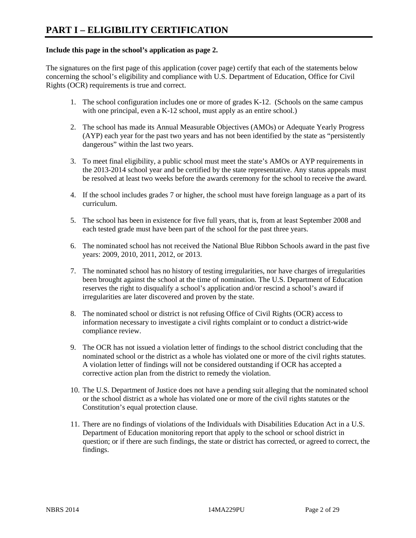## **Include this page in the school's application as page 2.**

The signatures on the first page of this application (cover page) certify that each of the statements below concerning the school's eligibility and compliance with U.S. Department of Education, Office for Civil Rights (OCR) requirements is true and correct.

- 1. The school configuration includes one or more of grades K-12. (Schools on the same campus with one principal, even a K-12 school, must apply as an entire school.)
- 2. The school has made its Annual Measurable Objectives (AMOs) or Adequate Yearly Progress (AYP) each year for the past two years and has not been identified by the state as "persistently dangerous" within the last two years.
- 3. To meet final eligibility, a public school must meet the state's AMOs or AYP requirements in the 2013-2014 school year and be certified by the state representative. Any status appeals must be resolved at least two weeks before the awards ceremony for the school to receive the award.
- 4. If the school includes grades 7 or higher, the school must have foreign language as a part of its curriculum.
- 5. The school has been in existence for five full years, that is, from at least September 2008 and each tested grade must have been part of the school for the past three years.
- 6. The nominated school has not received the National Blue Ribbon Schools award in the past five years: 2009, 2010, 2011, 2012, or 2013.
- 7. The nominated school has no history of testing irregularities, nor have charges of irregularities been brought against the school at the time of nomination. The U.S. Department of Education reserves the right to disqualify a school's application and/or rescind a school's award if irregularities are later discovered and proven by the state.
- 8. The nominated school or district is not refusing Office of Civil Rights (OCR) access to information necessary to investigate a civil rights complaint or to conduct a district-wide compliance review.
- 9. The OCR has not issued a violation letter of findings to the school district concluding that the nominated school or the district as a whole has violated one or more of the civil rights statutes. A violation letter of findings will not be considered outstanding if OCR has accepted a corrective action plan from the district to remedy the violation.
- 10. The U.S. Department of Justice does not have a pending suit alleging that the nominated school or the school district as a whole has violated one or more of the civil rights statutes or the Constitution's equal protection clause.
- 11. There are no findings of violations of the Individuals with Disabilities Education Act in a U.S. Department of Education monitoring report that apply to the school or school district in question; or if there are such findings, the state or district has corrected, or agreed to correct, the findings.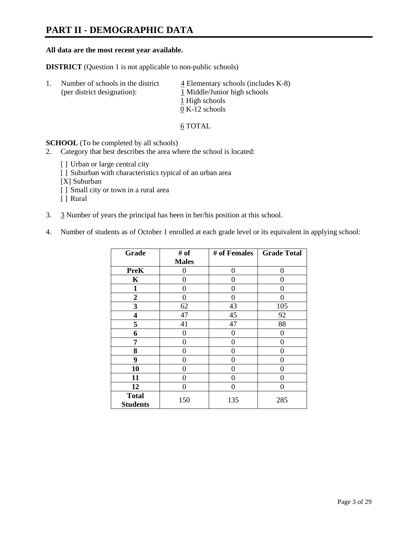## **PART II - DEMOGRAPHIC DATA**

### **All data are the most recent year available.**

**DISTRICT** (Question 1 is not applicable to non-public schools)

| -1. | Number of schools in the district<br>(per district designation): | $\overline{4}$ Elementary schools (includes K-8)<br>1 Middle/Junior high schools |
|-----|------------------------------------------------------------------|----------------------------------------------------------------------------------|
|     |                                                                  | 1 High schools                                                                   |
|     |                                                                  | $0 K-12$ schools                                                                 |

6 TOTAL

**SCHOOL** (To be completed by all schools)

- 2. Category that best describes the area where the school is located:
	- [] Urban or large central city
	- [ ] Suburban with characteristics typical of an urban area
	- [X] Suburban
	- [ ] Small city or town in a rural area
	- [ ] Rural
- 3. 3 Number of years the principal has been in her/his position at this school.
- 4. Number of students as of October 1 enrolled at each grade level or its equivalent in applying school:

| Grade                           | # of         | # of Females | <b>Grade Total</b> |
|---------------------------------|--------------|--------------|--------------------|
|                                 | <b>Males</b> |              |                    |
| <b>PreK</b>                     | 0            | 0            | 0                  |
| K                               | 0            | $\Omega$     | 0                  |
| 1                               | 0            | 0            | 0                  |
| $\boldsymbol{2}$                | 0            | $\Omega$     | 0                  |
| 3                               | 62           | 43           | 105                |
| 4                               | 47           | 45           | 92                 |
| 5                               | 41           | 47           | 88                 |
| 6                               | 0            | $\theta$     | 0                  |
| 7                               | 0            | 0            | 0                  |
| 8                               | 0            | 0            | 0                  |
| 9                               | 0            | 0            | 0                  |
| 10                              | 0            | 0            | 0                  |
| 11                              | 0            | 0            | 0                  |
| 12                              | 0            | 0            | 0                  |
| <b>Total</b><br><b>Students</b> | 150          | 135          | 285                |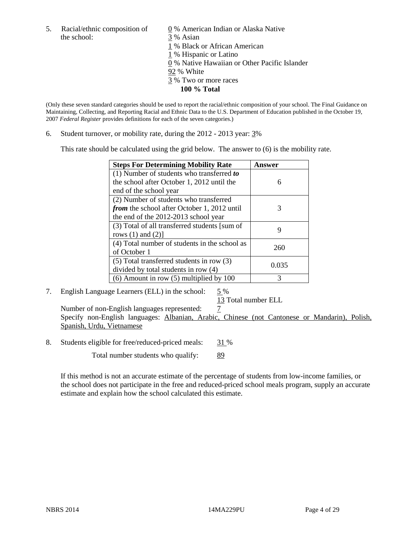the school: 3 % Asian

5. Racial/ethnic composition of  $\qquad \qquad \underline{0}$  % American Indian or Alaska Native

1 % Black or African American

1 % Hispanic or Latino

0 % Native Hawaiian or Other Pacific Islander

92 % White

- 3 % Two or more races
	- **100 % Total**

(Only these seven standard categories should be used to report the racial/ethnic composition of your school. The Final Guidance on Maintaining, Collecting, and Reporting Racial and Ethnic Data to the U.S. Department of Education published in the October 19, 2007 *Federal Register* provides definitions for each of the seven categories.)

6. Student turnover, or mobility rate, during the 2012 - 2013 year: 3%

This rate should be calculated using the grid below. The answer to (6) is the mobility rate.

| <b>Steps For Determining Mobility Rate</b>    | Answer |
|-----------------------------------------------|--------|
| (1) Number of students who transferred to     |        |
| the school after October 1, 2012 until the    | 6      |
| end of the school year                        |        |
| (2) Number of students who transferred        |        |
| from the school after October 1, 2012 until   | 3      |
| the end of the 2012-2013 school year          |        |
| (3) Total of all transferred students [sum of | 9      |
| rows $(1)$ and $(2)$ ]                        |        |
| (4) Total number of students in the school as | 260    |
| of October 1                                  |        |
| $(5)$ Total transferred students in row $(3)$ | 0.035  |
| divided by total students in row (4)          |        |
| $(6)$ Amount in row $(5)$ multiplied by 100   | 3      |

## 7. English Language Learners (ELL) in the school: 5 %

13 Total number ELL

Number of non-English languages represented:  $\frac{7}{5}$  Specify non-English languages: Albanian, Arabic, Chinese (not Cantonese or Mandarin), Polish, Spanish, Urdu, Vietnamese

8. Students eligible for free/reduced-priced meals: 31 %

Total number students who qualify: 89

If this method is not an accurate estimate of the percentage of students from low-income families, or the school does not participate in the free and reduced-priced school meals program, supply an accurate estimate and explain how the school calculated this estimate.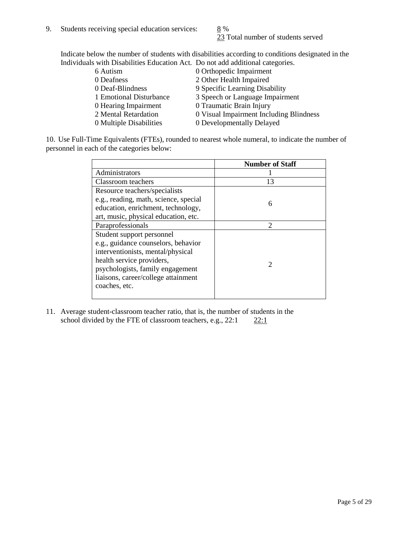23 Total number of students served

Indicate below the number of students with disabilities according to conditions designated in the Individuals with Disabilities Education Act. Do not add additional categories.

| 6 Autism                | 0 Orthopedic Impairment                 |
|-------------------------|-----------------------------------------|
| 0 Deafness              | 2 Other Health Impaired                 |
| 0 Deaf-Blindness        | 9 Specific Learning Disability          |
| 1 Emotional Disturbance | 3 Speech or Language Impairment         |
| 0 Hearing Impairment    | 0 Traumatic Brain Injury                |
| 2 Mental Retardation    | 0 Visual Impairment Including Blindness |
| 0 Multiple Disabilities | 0 Developmentally Delayed               |
|                         |                                         |

10. Use Full-Time Equivalents (FTEs), rounded to nearest whole numeral, to indicate the number of personnel in each of the categories below:

|                                       | <b>Number of Staff</b>      |
|---------------------------------------|-----------------------------|
| Administrators                        |                             |
| Classroom teachers                    | 13                          |
| Resource teachers/specialists         |                             |
| e.g., reading, math, science, special | 6                           |
| education, enrichment, technology,    |                             |
| art, music, physical education, etc.  |                             |
| Paraprofessionals                     | $\mathcal{D}_{\mathcal{L}}$ |
| Student support personnel             |                             |
| e.g., guidance counselors, behavior   |                             |
| interventionists, mental/physical     |                             |
| health service providers,             |                             |
| psychologists, family engagement      |                             |
| liaisons, career/college attainment   |                             |
| coaches, etc.                         |                             |
|                                       |                             |

11. Average student-classroom teacher ratio, that is, the number of students in the school divided by the FTE of classroom teachers, e.g.,  $22:1$   $22:1$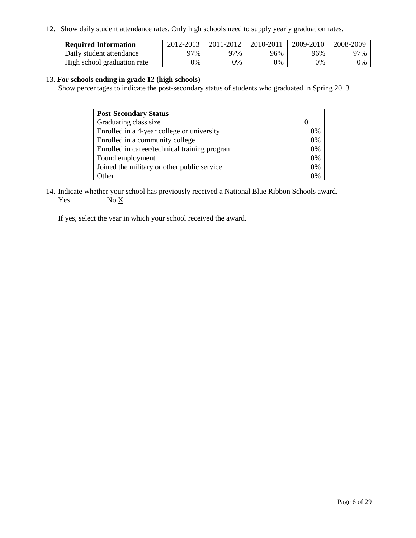12. Show daily student attendance rates. Only high schools need to supply yearly graduation rates.

| <b>Required Information</b> | 2012-2013 | 2011-2012 | 2010-2011 | 2009-2010 | 2008-2009 |
|-----------------------------|-----------|-----------|-----------|-----------|-----------|
| Daily student attendance    | ገ7%       | ገ7%       | 96%       | 96%       | 97%       |
| High school graduation rate | 0%        | 0%        | 0%        | 0%        | 0%        |

## 13. **For schools ending in grade 12 (high schools)**

Show percentages to indicate the post-secondary status of students who graduated in Spring 2013

| <b>Post-Secondary Status</b>                  |    |
|-----------------------------------------------|----|
| Graduating class size                         |    |
| Enrolled in a 4-year college or university    | 0% |
| Enrolled in a community college               | 0% |
| Enrolled in career/technical training program | 0% |
| Found employment                              | 0% |
| Joined the military or other public service   | 0% |
| <b>Other</b>                                  | 2% |

14. Indicate whether your school has previously received a National Blue Ribbon Schools award. Yes  $No \underline{X}$ 

If yes, select the year in which your school received the award.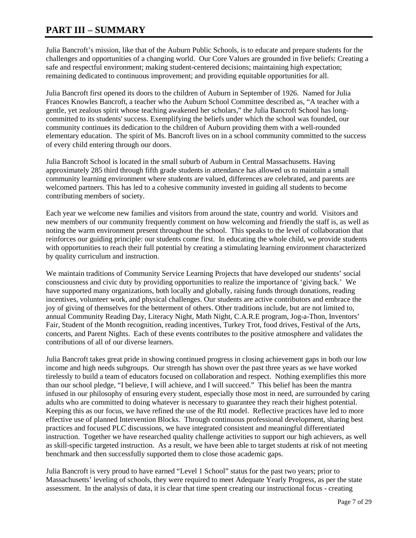## **PART III – SUMMARY**

Julia Bancroft's mission, like that of the Auburn Public Schools, is to educate and prepare students for the challenges and opportunities of a changing world. Our Core Values are grounded in five beliefs: Creating a safe and respectful environment; making student-centered decisions; maintaining high expectation; remaining dedicated to continuous improvement; and providing equitable opportunities for all.

Julia Bancroft first opened its doors to the children of Auburn in September of 1926. Named for Julia Frances Knowles Bancroft, a teacher who the Auburn School Committee described as, "A teacher with a gentle, yet zealous spirit whose teaching awakened her scholars," the Julia Bancroft School has longcommitted to its students' success. Exemplifying the beliefs under which the school was founded, our community continues its dedication to the children of Auburn providing them with a well-rounded elementary education. The spirit of Ms. Bancroft lives on in a school community committed to the success of every child entering through our doors.

Julia Bancroft School is located in the small suburb of Auburn in Central Massachusetts. Having approximately 285 third through fifth grade students in attendance has allowed us to maintain a small community learning environment where students are valued, differences are celebrated, and parents are welcomed partners. This has led to a cohesive community invested in guiding all students to become contributing members of society.

Each year we welcome new families and visitors from around the state, country and world. Visitors and new members of our community frequently comment on how welcoming and friendly the staff is, as well as noting the warm environment present throughout the school. This speaks to the level of collaboration that reinforces our guiding principle: our students come first. In educating the whole child, we provide students with opportunities to reach their full potential by creating a stimulating learning environment characterized by quality curriculum and instruction.

We maintain traditions of Community Service Learning Projects that have developed our students' social consciousness and civic duty by providing opportunities to realize the importance of 'giving back.' We have supported many organizations, both locally and globally, raising funds through donations, reading incentives, volunteer work, and physical challenges. Our students are active contributors and embrace the joy of giving of themselves for the betterment of others. Other traditions include, but are not limited to, annual Community Reading Day, Literacy Night, Math Night, C.A.R.E program, Jog-a-Thon, Inventors' Fair, Student of the Month recognition, reading incentives, Turkey Trot, food drives, Festival of the Arts, concerts, and Parent Nights. Each of these events contributes to the positive atmosphere and validates the contributions of all of our diverse learners.

Julia Bancroft takes great pride in showing continued progress in closing achievement gaps in both our low income and high needs subgroups. Our strength has shown over the past three years as we have worked tirelessly to build a team of educators focused on collaboration and respect. Nothing exemplifies this more than our school pledge, "I believe, I will achieve, and I will succeed." This belief has been the mantra infused in our philosophy of ensuring every student, especially those most in need, are surrounded by caring adults who are committed to doing whatever is necessary to guarantee they reach their highest potential. Keeping this as our focus, we have refined the use of the RtI model. Reflective practices have led to more effective use of planned Intervention Blocks. Through continuous professional development, sharing best practices and focused PLC discussions, we have integrated consistent and meaningful differentiated instruction. Together we have researched quality challenge activities to support our high achievers, as well as skill-specific targeted instruction. As a result, we have been able to target students at risk of not meeting benchmark and then successfully supported them to close those academic gaps.

Julia Bancroft is very proud to have earned "Level 1 School" status for the past two years; prior to Massachusetts' leveling of schools, they were required to meet Adequate Yearly Progress, as per the state assessment. In the analysis of data, it is clear that time spent creating our instructional focus - creating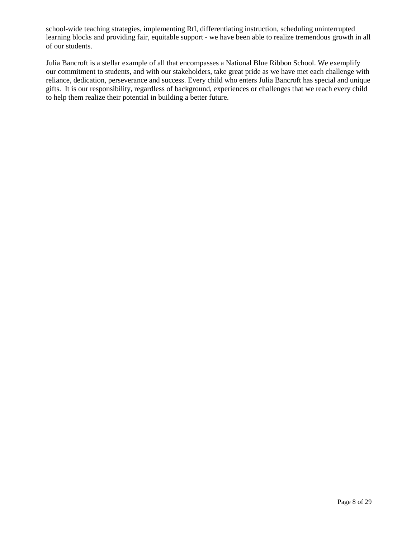school-wide teaching strategies, implementing RtI, differentiating instruction, scheduling uninterrupted learning blocks and providing fair, equitable support - we have been able to realize tremendous growth in all of our students.

Julia Bancroft is a stellar example of all that encompasses a National Blue Ribbon School. We exemplify our commitment to students, and with our stakeholders, take great pride as we have met each challenge with reliance, dedication, perseverance and success. Every child who enters Julia Bancroft has special and unique gifts. It is our responsibility, regardless of background, experiences or challenges that we reach every child to help them realize their potential in building a better future.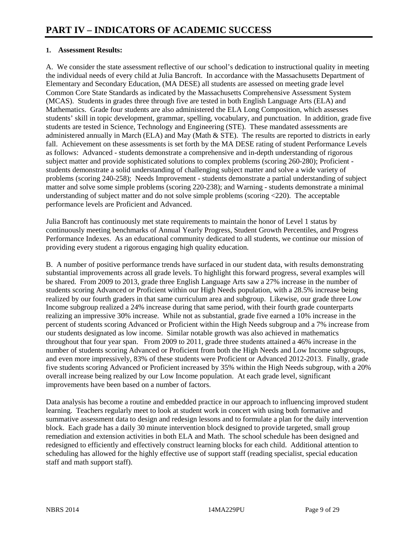## **1. Assessment Results:**

A. We consider the state assessment reflective of our school's dedication to instructional quality in meeting the individual needs of every child at Julia Bancroft. In accordance with the Massachusetts Department of Elementary and Secondary Education, (MA DESE) all students are assessed on meeting grade level Common Core State Standards as indicated by the Massachusetts Comprehensive Assessment System (MCAS). Students in grades three through five are tested in both English Language Arts (ELA) and Mathematics. Grade four students are also administered the ELA Long Composition, which assesses students' skill in topic development, grammar, spelling, vocabulary, and punctuation. In addition, grade five students are tested in Science, Technology and Engineering (STE). These mandated assessments are administered annually in March (ELA) and May (Math  $\&$  STE). The results are reported to districts in early fall. Achievement on these assessments is set forth by the MA DESE rating of student Performance Levels as follows: Advanced - students demonstrate a comprehensive and in-depth understanding of rigorous subject matter and provide sophisticated solutions to complex problems (scoring 260-280); Proficient students demonstrate a solid understanding of challenging subject matter and solve a wide variety of problems (scoring 240-258); Needs Improvement - students demonstrate a partial understanding of subject matter and solve some simple problems (scoring 220-238); and Warning - students demonstrate a minimal understanding of subject matter and do not solve simple problems (scoring <220). The acceptable performance levels are Proficient and Advanced.

Julia Bancroft has continuously met state requirements to maintain the honor of Level 1 status by continuously meeting benchmarks of Annual Yearly Progress, Student Growth Percentiles, and Progress Performance Indexes. As an educational community dedicated to all students, we continue our mission of providing every student a rigorous engaging high quality education.

B. A number of positive performance trends have surfaced in our student data, with results demonstrating substantial improvements across all grade levels. To highlight this forward progress, several examples will be shared. From 2009 to 2013, grade three English Language Arts saw a 27% increase in the number of students scoring Advanced or Proficient within our High Needs population, with a 28.5% increase being realized by our fourth graders in that same curriculum area and subgroup. Likewise, our grade three Low Income subgroup realized a 24% increase during that same period, with their fourth grade counterparts realizing an impressive 30% increase. While not as substantial, grade five earned a 10% increase in the percent of students scoring Advanced or Proficient within the High Needs subgroup and a 7% increase from our students designated as low income. Similar notable growth was also achieved in mathematics throughout that four year span. From 2009 to 2011, grade three students attained a 46% increase in the number of students scoring Advanced or Proficient from both the High Needs and Low Income subgroups, and even more impressively, 83% of these students were Proficient or Advanced 2012-2013. Finally, grade five students scoring Advanced or Proficient increased by 35% within the High Needs subgroup, with a 20% overall increase being realized by our Low Income population. At each grade level, significant improvements have been based on a number of factors.

Data analysis has become a routine and embedded practice in our approach to influencing improved student learning. Teachers regularly meet to look at student work in concert with using both formative and summative assessment data to design and redesign lessons and to formulate a plan for the daily intervention block. Each grade has a daily 30 minute intervention block designed to provide targeted, small group remediation and extension activities in both ELA and Math. The school schedule has been designed and redesigned to efficiently and effectively construct learning blocks for each child. Additional attention to scheduling has allowed for the highly effective use of support staff (reading specialist, special education staff and math support staff).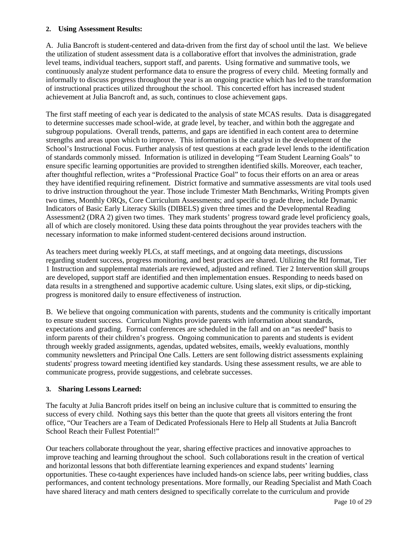## **2. Using Assessment Results:**

A. Julia Bancroft is student-centered and data-driven from the first day of school until the last. We believe the utilization of student assessment data is a collaborative effort that involves the administration, grade level teams, individual teachers, support staff, and parents. Using formative and summative tools, we continuously analyze student performance data to ensure the progress of every child. Meeting formally and informally to discuss progress throughout the year is an ongoing practice which has led to the transformation of instructional practices utilized throughout the school. This concerted effort has increased student achievement at Julia Bancroft and, as such, continues to close achievement gaps.

The first staff meeting of each year is dedicated to the analysis of state MCAS results. Data is disaggregated to determine successes made school-wide, at grade level, by teacher, and within both the aggregate and subgroup populations. Overall trends, patterns, and gaps are identified in each content area to determine strengths and areas upon which to improve. This information is the catalyst in the development of the School's Instructional Focus. Further analysis of test questions at each grade level lends to the identification of standards commonly missed. Information is utilized in developing "Team Student Learning Goals" to ensure specific learning opportunities are provided to strengthen identified skills. Moreover, each teacher, after thoughtful reflection, writes a "Professional Practice Goal" to focus their efforts on an area or areas they have identified requiring refinement. District formative and summative assessments are vital tools used to drive instruction throughout the year. Those include Trimester Math Benchmarks, Writing Prompts given two times, Monthly ORQs, Core Curriculum Assessments; and specific to grade three, include Dynamic Indicators of Basic Early Literacy Skills (DIBELS) given three times and the Developmental Reading Assessment2 (DRA 2) given two times. They mark students' progress toward grade level proficiency goals, all of which are closely monitored. Using these data points throughout the year provides teachers with the necessary information to make informed student-centered decisions around instruction.

As teachers meet during weekly PLCs, at staff meetings, and at ongoing data meetings, discussions regarding student success, progress monitoring, and best practices are shared. Utilizing the RtI format, Tier 1 Instruction and supplemental materials are reviewed, adjusted and refined. Tier 2 Intervention skill groups are developed, support staff are identified and then implementation ensues. Responding to needs based on data results in a strengthened and supportive academic culture. Using slates, exit slips, or dip-sticking, progress is monitored daily to ensure effectiveness of instruction.

B. We believe that ongoing communication with parents, students and the community is critically important to ensure student success. Curriculum Nights provide parents with information about standards, expectations and grading. Formal conferences are scheduled in the fall and on an "as needed" basis to inform parents of their children's progress. Ongoing communication to parents and students is evident through weekly graded assignments, agendas, updated websites, emails, weekly evaluations, monthly community newsletters and Principal One Calls. Letters are sent following district assessments explaining students' progress toward meeting identified key standards. Using these assessment results, we are able to communicate progress, provide suggestions, and celebrate successes.

## **3. Sharing Lessons Learned:**

The faculty at Julia Bancroft prides itself on being an inclusive culture that is committed to ensuring the success of every child. Nothing says this better than the quote that greets all visitors entering the front office, "Our Teachers are a Team of Dedicated Professionals Here to Help all Students at Julia Bancroft School Reach their Fullest Potential!"

Our teachers collaborate throughout the year, sharing effective practices and innovative approaches to improve teaching and learning throughout the school. Such collaborations result in the creation of vertical and horizontal lessons that both differentiate learning experiences and expand students' learning opportunities. These co-taught experiences have included hands-on science labs, peer writing buddies, class performances, and content technology presentations. More formally, our Reading Specialist and Math Coach have shared literacy and math centers designed to specifically correlate to the curriculum and provide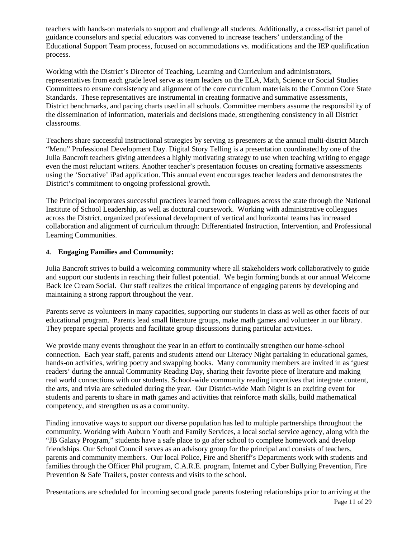teachers with hands-on materials to support and challenge all students. Additionally, a cross-district panel of guidance counselors and special educators was convened to increase teachers' understanding of the Educational Support Team process, focused on accommodations vs. modifications and the IEP qualification process.

Working with the District's Director of Teaching, Learning and Curriculum and administrators, representatives from each grade level serve as team leaders on the ELA, Math, Science or Social Studies Committees to ensure consistency and alignment of the core curriculum materials to the Common Core State Standards. These representatives are instrumental in creating formative and summative assessments, District benchmarks, and pacing charts used in all schools. Committee members assume the responsibility of the dissemination of information, materials and decisions made, strengthening consistency in all District classrooms.

Teachers share successful instructional strategies by serving as presenters at the annual multi-district March "Menu" Professional Development Day. Digital Story Telling is a presentation coordinated by one of the Julia Bancroft teachers giving attendees a highly motivating strategy to use when teaching writing to engage even the most reluctant writers. Another teacher's presentation focuses on creating formative assessments using the 'Socrative' iPad application. This annual event encourages teacher leaders and demonstrates the District's commitment to ongoing professional growth.

The Principal incorporates successful practices learned from colleagues across the state through the National Institute of School Leadership, as well as doctoral coursework. Working with administrative colleagues across the District, organized professional development of vertical and horizontal teams has increased collaboration and alignment of curriculum through: Differentiated Instruction, Intervention, and Professional Learning Communities.

## **4. Engaging Families and Community:**

Julia Bancroft strives to build a welcoming community where all stakeholders work collaboratively to guide and support our students in reaching their fullest potential. We begin forming bonds at our annual Welcome Back Ice Cream Social. Our staff realizes the critical importance of engaging parents by developing and maintaining a strong rapport throughout the year.

Parents serve as volunteers in many capacities, supporting our students in class as well as other facets of our educational program. Parents lead small literature groups, make math games and volunteer in our library. They prepare special projects and facilitate group discussions during particular activities.

We provide many events throughout the year in an effort to continually strengthen our home-school connection. Each year staff, parents and students attend our Literacy Night partaking in educational games, hands-on activities, writing poetry and swapping books. Many community members are invited in as 'guest readers' during the annual Community Reading Day, sharing their favorite piece of literature and making real world connections with our students. School-wide community reading incentives that integrate content, the arts, and trivia are scheduled during the year. Our District-wide Math Night is an exciting event for students and parents to share in math games and activities that reinforce math skills, build mathematical competency, and strengthen us as a community.

Finding innovative ways to support our diverse population has led to multiple partnerships throughout the community. Working with Auburn Youth and Family Services, a local social service agency, along with the "JB Galaxy Program," students have a safe place to go after school to complete homework and develop friendships. Our School Council serves as an advisory group for the principal and consists of teachers, parents and community members. Our local Police, Fire and Sheriff's Departments work with students and families through the Officer Phil program, C.A.R.E. program, Internet and Cyber Bullying Prevention, Fire Prevention & Safe Trailers, poster contests and visits to the school.

Page 11 of 29 Presentations are scheduled for incoming second grade parents fostering relationships prior to arriving at the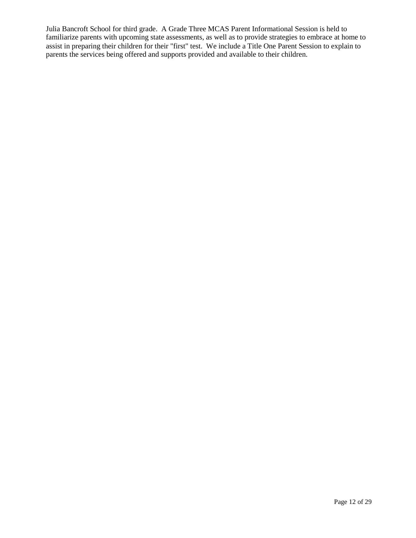Julia Bancroft School for third grade. A Grade Three MCAS Parent Informational Session is held to familiarize parents with upcoming state assessments, as well as to provide strategies to embrace at home to assist in preparing their children for their "first" test. We include a Title One Parent Session to explain to parents the services being offered and supports provided and available to their children.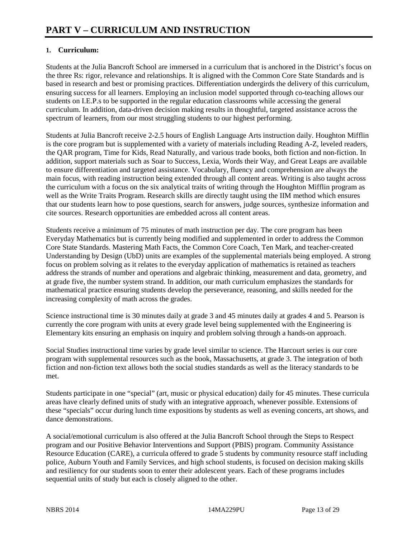## **1. Curriculum:**

Students at the Julia Bancroft School are immersed in a curriculum that is anchored in the District's focus on the three Rs: rigor, relevance and relationships. It is aligned with the Common Core State Standards and is based in research and best or promising practices. Differentiation undergirds the delivery of this curriculum, ensuring success for all learners. Employing an inclusion model supported through co-teaching allows our students on I.E.P.s to be supported in the regular education classrooms while accessing the general curriculum. In addition, data-driven decision making results in thoughtful, targeted assistance across the spectrum of learners, from our most struggling students to our highest performing.

Students at Julia Bancroft receive 2-2.5 hours of English Language Arts instruction daily. Houghton Mifflin is the core program but is supplemented with a variety of materials including Reading A-Z, leveled readers, the QAR program, Time for Kids, Read Naturally, and various trade books, both fiction and non-fiction. In addition, support materials such as Soar to Success, Lexia, Words their Way, and Great Leaps are available to ensure differentiation and targeted assistance. Vocabulary, fluency and comprehension are always the main focus, with reading instruction being extended through all content areas. Writing is also taught across the curriculum with a focus on the six analytical traits of writing through the Houghton Mifflin program as well as the Write Traits Program. Research skills are directly taught using the IIM method which ensures that our students learn how to pose questions, search for answers, judge sources, synthesize information and cite sources. Research opportunities are embedded across all content areas.

Students receive a minimum of 75 minutes of math instruction per day. The core program has been Everyday Mathematics but is currently being modified and supplemented in order to address the Common Core State Standards. Mastering Math Facts, the Common Core Coach, Ten Mark, and teacher-created Understanding by Design (UbD) units are examples of the supplemental materials being employed. A strong focus on problem solving as it relates to the everyday application of mathematics is retained as teachers address the strands of number and operations and algebraic thinking, measurement and data, geometry, and at grade five, the number system strand. In addition, our math curriculum emphasizes the standards for mathematical practice ensuring students develop the perseverance, reasoning, and skills needed for the increasing complexity of math across the grades.

Science instructional time is 30 minutes daily at grade 3 and 45 minutes daily at grades 4 and 5. Pearson is currently the core program with units at every grade level being supplemented with the Engineering is Elementary kits ensuring an emphasis on inquiry and problem solving through a hands-on approach.

Social Studies instructional time varies by grade level similar to science. The Harcourt series is our core program with supplemental resources such as the book, Massachusetts, at grade 3. The integration of both fiction and non-fiction text allows both the social studies standards as well as the literacy standards to be met.

Students participate in one "special" (art, music or physical education) daily for 45 minutes. These curricula areas have clearly defined units of study with an integrative approach, whenever possible. Extensions of these "specials" occur during lunch time expositions by students as well as evening concerts, art shows, and dance demonstrations.

A social/emotional curriculum is also offered at the Julia Bancroft School through the Steps to Respect program and our Positive Behavior Interventions and Support (PBIS) program. Community Assistance Resource Education (CARE), a curricula offered to grade 5 students by community resource staff including police, Auburn Youth and Family Services, and high school students, is focused on decision making skills and resiliency for our students soon to enter their adolescent years. Each of these programs includes sequential units of study but each is closely aligned to the other.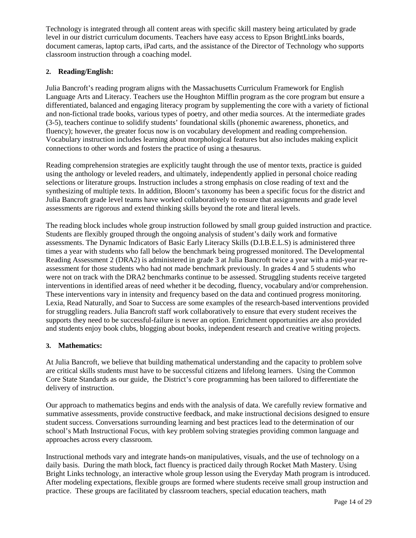Technology is integrated through all content areas with specific skill mastery being articulated by grade level in our district curriculum documents. Teachers have easy access to Epson BrightLinks boards, document cameras, laptop carts, iPad carts, and the assistance of the Director of Technology who supports classroom instruction through a coaching model.

## **2. Reading/English:**

Julia Bancroft's reading program aligns with the Massachusetts Curriculum Framework for English Language Arts and Literacy. Teachers use the Houghton Mifflin program as the core program but ensure a differentiated, balanced and engaging literacy program by supplementing the core with a variety of fictional and non-fictional trade books, various types of poetry, and other media sources. At the intermediate grades (3-5), teachers continue to solidify students' foundational skills (phonemic awareness, phonetics, and fluency); however, the greater focus now is on vocabulary development and reading comprehension. Vocabulary instruction includes learning about morphological features but also includes making explicit connections to other words and fosters the practice of using a thesaurus.

Reading comprehension strategies are explicitly taught through the use of mentor texts, practice is guided using the anthology or leveled readers, and ultimately, independently applied in personal choice reading selections or literature groups. Instruction includes a strong emphasis on close reading of text and the synthesizing of multiple texts. In addition, Bloom's taxonomy has been a specific focus for the district and Julia Bancroft grade level teams have worked collaboratively to ensure that assignments and grade level assessments are rigorous and extend thinking skills beyond the rote and literal levels.

The reading block includes whole group instruction followed by small group guided instruction and practice. Students are flexibly grouped through the ongoing analysis of student's daily work and formative assessments. The Dynamic Indicators of Basic Early Literacy Skills (D.I.B.E.L.S) is administered three times a year with students who fall below the benchmark being progressed monitored. The Developmental Reading Assessment 2 (DRA2) is administered in grade 3 at Julia Bancroft twice a year with a mid-year reassessment for those students who had not made benchmark previously. In grades 4 and 5 students who were not on track with the DRA2 benchmarks continue to be assessed. Struggling students receive targeted interventions in identified areas of need whether it be decoding, fluency, vocabulary and/or comprehension. These interventions vary in intensity and frequency based on the data and continued progress monitoring. Lexia, Read Naturally, and Soar to Success are some examples of the research-based interventions provided for struggling readers. Julia Bancroft staff work collaboratively to ensure that every student receives the supports they need to be successful-failure is never an option. Enrichment opportunities are also provided and students enjoy book clubs, blogging about books, independent research and creative writing projects.

## **3. Mathematics:**

At Julia Bancroft, we believe that building mathematical understanding and the capacity to problem solve are critical skills students must have to be successful citizens and lifelong learners. Using the Common Core State Standards as our guide, the District's core programming has been tailored to differentiate the delivery of instruction.

Our approach to mathematics begins and ends with the analysis of data. We carefully review formative and summative assessments, provide constructive feedback, and make instructional decisions designed to ensure student success. Conversations surrounding learning and best practices lead to the determination of our school's Math Instructional Focus, with key problem solving strategies providing common language and approaches across every classroom.

Instructional methods vary and integrate hands-on manipulatives, visuals, and the use of technology on a daily basis. During the math block, fact fluency is practiced daily through Rocket Math Mastery. Using Bright Links technology, an interactive whole group lesson using the Everyday Math program is introduced. After modeling expectations, flexible groups are formed where students receive small group instruction and practice. These groups are facilitated by classroom teachers, special education teachers, math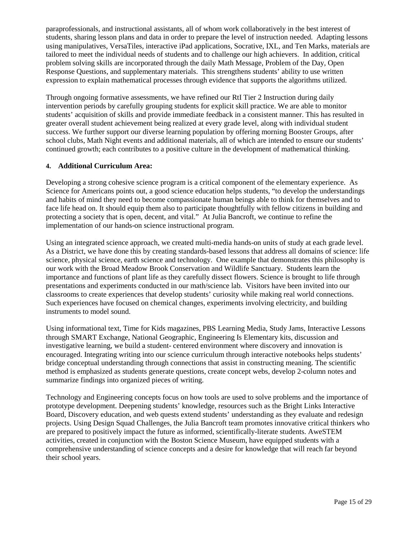paraprofessionals, and instructional assistants, all of whom work collaboratively in the best interest of students, sharing lesson plans and data in order to prepare the level of instruction needed. Adapting lessons using manipulatives, VersaTiles, interactive iPad applications, Socrative, IXL, and Ten Marks, materials are tailored to meet the individual needs of students and to challenge our high achievers. In addition, critical problem solving skills are incorporated through the daily Math Message, Problem of the Day, Open Response Questions, and supplementary materials. This strengthens students' ability to use written expression to explain mathematical processes through evidence that supports the algorithms utilized.

Through ongoing formative assessments, we have refined our RtI Tier 2 Instruction during daily intervention periods by carefully grouping students for explicit skill practice. We are able to monitor students' acquisition of skills and provide immediate feedback in a consistent manner. This has resulted in greater overall student achievement being realized at every grade level, along with individual student success. We further support our diverse learning population by offering morning Booster Groups, after school clubs, Math Night events and additional materials, all of which are intended to ensure our students' continued growth; each contributes to a positive culture in the development of mathematical thinking.

## **4. Additional Curriculum Area:**

Developing a strong cohesive science program is a critical component of the elementary experience. As Science for Americans points out, a good science education helps students, "to develop the understandings and habits of mind they need to become compassionate human beings able to think for themselves and to face life head on. It should equip them also to participate thoughtfully with fellow citizens in building and protecting a society that is open, decent, and vital." At Julia Bancroft, we continue to refine the implementation of our hands-on science instructional program.

Using an integrated science approach, we created multi-media hands-on units of study at each grade level. As a District, we have done this by creating standards-based lessons that address all domains of science: life science, physical science, earth science and technology. One example that demonstrates this philosophy is our work with the Broad Meadow Brook Conservation and Wildlife Sanctuary. Students learn the importance and functions of plant life as they carefully dissect flowers. Science is brought to life through presentations and experiments conducted in our math/science lab. Visitors have been invited into our classrooms to create experiences that develop students' curiosity while making real world connections. Such experiences have focused on chemical changes, experiments involving electricity, and building instruments to model sound.

Using informational text, Time for Kids magazines, PBS Learning Media, Study Jams, Interactive Lessons through SMART Exchange, National Geographic, Engineering Is Elementary kits, discussion and investigative learning, we build a student- centered environment where discovery and innovation is encouraged. Integrating writing into our science curriculum through interactive notebooks helps students' bridge conceptual understanding through connections that assist in constructing meaning. The scientific method is emphasized as students generate questions, create concept webs, develop 2-column notes and summarize findings into organized pieces of writing.

Technology and Engineering concepts focus on how tools are used to solve problems and the importance of prototype development. Deepening students' knowledge, resources such as the Bright Links Interactive Board, Discovery education, and web quests extend students' understanding as they evaluate and redesign projects. Using Design Squad Challenges, the Julia Bancroft team promotes innovative critical thinkers who are prepared to positively impact the future as informed, scientifically-literate students. AweSTEM activities, created in conjunction with the Boston Science Museum, have equipped students with a comprehensive understanding of science concepts and a desire for knowledge that will reach far beyond their school years.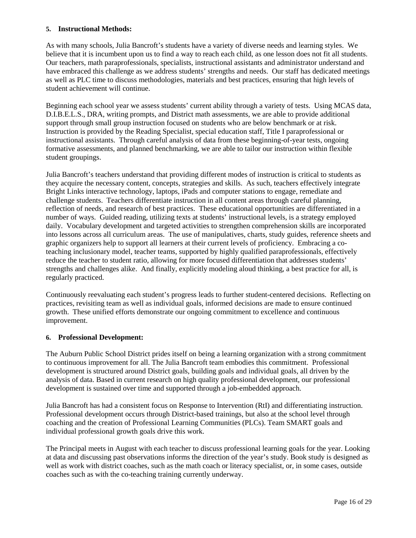## **5. Instructional Methods:**

As with many schools, Julia Bancroft's students have a variety of diverse needs and learning styles. We believe that it is incumbent upon us to find a way to reach each child, as one lesson does not fit all students. Our teachers, math paraprofessionals, specialists, instructional assistants and administrator understand and have embraced this challenge as we address students' strengths and needs. Our staff has dedicated meetings as well as PLC time to discuss methodologies, materials and best practices, ensuring that high levels of student achievement will continue.

Beginning each school year we assess students' current ability through a variety of tests. Using MCAS data, D.I.B.E.L.S., DRA, writing prompts, and District math assessments, we are able to provide additional support through small group instruction focused on students who are below benchmark or at risk. Instruction is provided by the Reading Specialist, special education staff, Title I paraprofessional or instructional assistants. Through careful analysis of data from these beginning-of-year tests, ongoing formative assessments, and planned benchmarking, we are able to tailor our instruction within flexible student groupings.

Julia Bancroft's teachers understand that providing different modes of instruction is critical to students as they acquire the necessary content, concepts, strategies and skills. As such, teachers effectively integrate Bright Links interactive technology, laptops, iPads and computer stations to engage, remediate and challenge students. Teachers differentiate instruction in all content areas through careful planning, reflection of needs, and research of best practices. These educational opportunities are differentiated in a number of ways. Guided reading, utilizing texts at students' instructional levels, is a strategy employed daily. Vocabulary development and targeted activities to strengthen comprehension skills are incorporated into lessons across all curriculum areas. The use of manipulatives, charts, study guides, reference sheets and graphic organizers help to support all learners at their current levels of proficiency. Embracing a coteaching inclusionary model, teacher teams, supported by highly qualified paraprofessionals, effectively reduce the teacher to student ratio, allowing for more focused differentiation that addresses students' strengths and challenges alike. And finally, explicitly modeling aloud thinking, a best practice for all, is regularly practiced.

Continuously reevaluating each student's progress leads to further student-centered decisions. Reflecting on practices, revisiting team as well as individual goals, informed decisions are made to ensure continued growth. These unified efforts demonstrate our ongoing commitment to excellence and continuous improvement.

## **6. Professional Development:**

The Auburn Public School District prides itself on being a learning organization with a strong commitment to continuous improvement for all. The Julia Bancroft team embodies this commitment. Professional development is structured around District goals, building goals and individual goals, all driven by the analysis of data. Based in current research on high quality professional development, our professional development is sustained over time and supported through a job-embedded approach.

Julia Bancroft has had a consistent focus on Response to Intervention (RtI) and differentiating instruction. Professional development occurs through District-based trainings, but also at the school level through coaching and the creation of Professional Learning Communities (PLCs). Team SMART goals and individual professional growth goals drive this work.

The Principal meets in August with each teacher to discuss professional learning goals for the year. Looking at data and discussing past observations informs the direction of the year's study. Book study is designed as well as work with district coaches, such as the math coach or literacy specialist, or, in some cases, outside coaches such as with the co-teaching training currently underway.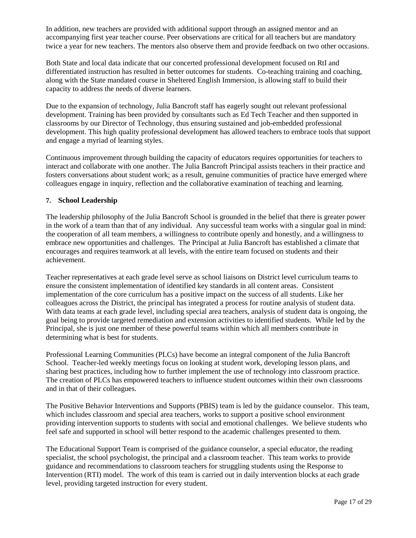In addition, new teachers are provided with additional support through an assigned mentor and an accompanying first year teacher course. Peer observations are critical for all teachers but are mandatory twice a year for new teachers. The mentors also observe them and provide feedback on two other occasions.

Both State and local data indicate that our concerted professional development focused on RtI and differentiated instruction has resulted in better outcomes for students. Co-teaching training and coaching, along with the State mandated course in Sheltered English Immersion, is allowing staff to build their capacity to address the needs of diverse learners.

Due to the expansion of technology, Julia Bancroft staff has eagerly sought out relevant professional development. Training has been provided by consultants such as Ed Tech Teacher and then supported in classrooms by our Director of Technology, thus ensuring sustained and job-embedded professional development. This high quality professional development has allowed teachers to embrace tools that support and engage a myriad of learning styles.

Continuous improvement through building the capacity of educators requires opportunities for teachers to interact and collaborate with one another. The Julia Bancroft Principal assists teachers in their practice and fosters conversations about student work; as a result, genuine communities of practice have emerged where colleagues engage in inquiry, reflection and the collaborative examination of teaching and learning.

## **7. School Leadership**

The leadership philosophy of the Julia Bancroft School is grounded in the belief that there is greater power in the work of a team than that of any individual. Any successful team works with a singular goal in mind: the cooperation of all team members, a willingness to contribute openly and honestly, and a willingness to embrace new opportunities and challenges. The Principal at Julia Bancroft has established a climate that encourages and requires teamwork at all levels, with the entire team focused on students and their achievement.

Teacher representatives at each grade level serve as school liaisons on District level curriculum teams to ensure the consistent implementation of identified key standards in all content areas. Consistent implementation of the core curriculum has a positive impact on the success of all students. Like her colleagues across the District, the principal has integrated a process for routine analysis of student data. With data teams at each grade level, including special area teachers, analysis of student data is ongoing, the goal being to provide targeted remediation and extension activities to identified students. While led by the Principal, she is just one member of these powerful teams within which all members contribute in determining what is best for students.

Professional Learning Communities (PLCs) have become an integral component of the Julia Bancroft School. Teacher-led weekly meetings focus on looking at student work, developing lesson plans, and sharing best practices, including how to further implement the use of technology into classroom practice. The creation of PLCs has empowered teachers to influence student outcomes within their own classrooms and in that of their colleagues.

The Positive Behavior Interventions and Supports (PBIS) team is led by the guidance counselor. This team, which includes classroom and special area teachers, works to support a positive school environment providing intervention supports to students with social and emotional challenges. We believe students who feel safe and supported in school will better respond to the academic challenges presented to them.

The Educational Support Team is comprised of the guidance counselor, a special educator, the reading specialist, the school psychologist, the principal and a classroom teacher. This team works to provide guidance and recommendations to classroom teachers for struggling students using the Response to Intervention (RTI) model. The work of this team is carried out in daily intervention blocks at each grade level, providing targeted instruction for every student.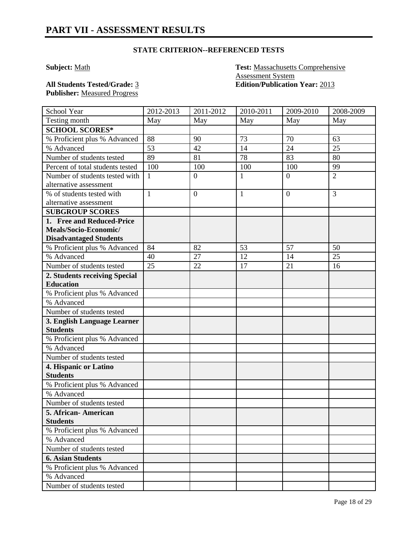**Subject:** Math **Test:** Massachusetts Comprehensive Assessment System **All Students Tested/Grade:** 3 **Edition/Publication Year:** 2013

**Publisher:** Measured Progress

| School Year                                    | 2012-2013    | 2011-2012        | 2010-2011    | 2009-2010      | 2008-2009      |
|------------------------------------------------|--------------|------------------|--------------|----------------|----------------|
| Testing month                                  | May          | May              | May          | May            | May            |
| <b>SCHOOL SCORES*</b>                          |              |                  |              |                |                |
| % Proficient plus % Advanced                   | 88           | 90               | 73           | 70             | 63             |
| % Advanced                                     | 53           | 42               | 14           | 24             | 25             |
| Number of students tested                      | 89           | 81               | 78           | 83             | 80             |
| Percent of total students tested               | 100          | 100              | 100          | 100            | 99             |
| Number of students tested with                 | $\mathbf{1}$ | $\boldsymbol{0}$ | $\mathbf{1}$ | $\overline{0}$ | $\overline{2}$ |
| alternative assessment                         |              |                  |              |                |                |
| % of students tested with                      | $\mathbf{1}$ | $\overline{0}$   | $\mathbf{1}$ | $\overline{0}$ | 3              |
| alternative assessment                         |              |                  |              |                |                |
| <b>SUBGROUP SCORES</b>                         |              |                  |              |                |                |
| 1. Free and Reduced-Price                      |              |                  |              |                |                |
| Meals/Socio-Economic/                          |              |                  |              |                |                |
| <b>Disadvantaged Students</b>                  |              |                  |              |                |                |
| % Proficient plus % Advanced                   | 84           | 82               | 53           | 57             | 50             |
| % Advanced                                     | 40           | 27               | 12           | 14             | 25             |
| Number of students tested                      | 25           | 22               | 17           | 21             | 16             |
| 2. Students receiving Special                  |              |                  |              |                |                |
| <b>Education</b>                               |              |                  |              |                |                |
| % Proficient plus % Advanced                   |              |                  |              |                |                |
| % Advanced                                     |              |                  |              |                |                |
| Number of students tested                      |              |                  |              |                |                |
| 3. English Language Learner<br><b>Students</b> |              |                  |              |                |                |
| % Proficient plus % Advanced                   |              |                  |              |                |                |
| % Advanced                                     |              |                  |              |                |                |
| Number of students tested                      |              |                  |              |                |                |
| 4. Hispanic or Latino                          |              |                  |              |                |                |
| <b>Students</b>                                |              |                  |              |                |                |
| % Proficient plus % Advanced                   |              |                  |              |                |                |
| % Advanced                                     |              |                  |              |                |                |
| Number of students tested                      |              |                  |              |                |                |
| 5. African-American                            |              |                  |              |                |                |
| <b>Students</b>                                |              |                  |              |                |                |
| % Proficient plus % Advanced                   |              |                  |              |                |                |
| % Advanced                                     |              |                  |              |                |                |
| Number of students tested                      |              |                  |              |                |                |
| <b>6. Asian Students</b>                       |              |                  |              |                |                |
| % Proficient plus % Advanced                   |              |                  |              |                |                |
| % Advanced                                     |              |                  |              |                |                |
| Number of students tested                      |              |                  |              |                |                |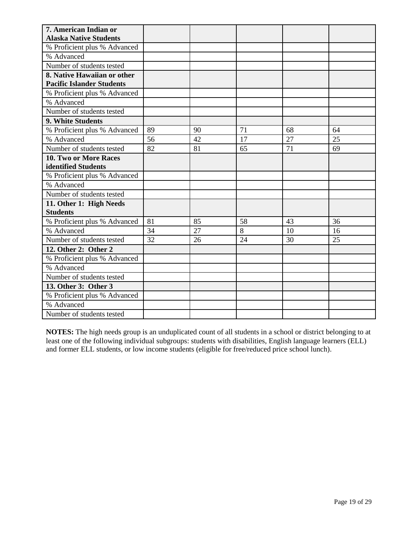| 7. American Indian or            |    |    |                |    |    |
|----------------------------------|----|----|----------------|----|----|
| <b>Alaska Native Students</b>    |    |    |                |    |    |
| % Proficient plus % Advanced     |    |    |                |    |    |
| % Advanced                       |    |    |                |    |    |
| Number of students tested        |    |    |                |    |    |
| 8. Native Hawaiian or other      |    |    |                |    |    |
| <b>Pacific Islander Students</b> |    |    |                |    |    |
| % Proficient plus % Advanced     |    |    |                |    |    |
| % Advanced                       |    |    |                |    |    |
| Number of students tested        |    |    |                |    |    |
| 9. White Students                |    |    |                |    |    |
| % Proficient plus % Advanced     | 89 | 90 | 71             | 68 | 64 |
| % Advanced                       | 56 | 42 | 17             | 27 | 25 |
| Number of students tested        | 82 | 81 | 65             | 71 | 69 |
| 10. Two or More Races            |    |    |                |    |    |
| identified Students              |    |    |                |    |    |
| % Proficient plus % Advanced     |    |    |                |    |    |
| % Advanced                       |    |    |                |    |    |
| Number of students tested        |    |    |                |    |    |
| 11. Other 1: High Needs          |    |    |                |    |    |
| <b>Students</b>                  |    |    |                |    |    |
| % Proficient plus % Advanced     | 81 | 85 | 58             | 43 | 36 |
| % Advanced                       | 34 | 27 | $\overline{8}$ | 10 | 16 |
| Number of students tested        | 32 | 26 | 24             | 30 | 25 |
| 12. Other 2: Other 2             |    |    |                |    |    |
| % Proficient plus % Advanced     |    |    |                |    |    |
| % Advanced                       |    |    |                |    |    |
| Number of students tested        |    |    |                |    |    |
| 13. Other 3: Other 3             |    |    |                |    |    |
| % Proficient plus % Advanced     |    |    |                |    |    |
| % Advanced                       |    |    |                |    |    |
| Number of students tested        |    |    |                |    |    |

**NOTES:** The high needs group is an unduplicated count of all students in a school or district belonging to at least one of the following individual subgroups: students with disabilities, English language learners (ELL) and former ELL students, or low income students (eligible for free/reduced price school lunch).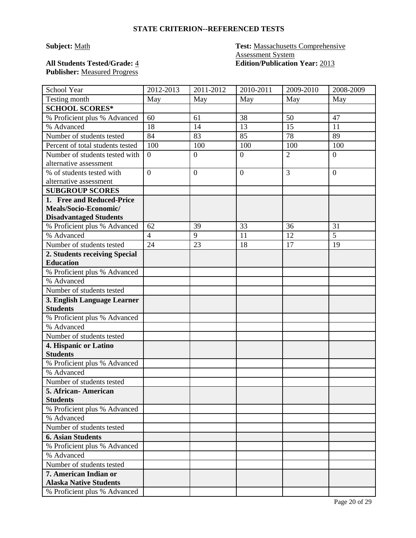# **Publisher:** Measured Progress

## **Subject:** Math **Test:** Massachusetts Comprehensive Assessment System **All Students Tested/Grade:** 4 **Edition/Publication Year:** 2013

| School Year                                            | 2012-2013        | 2011-2012        | 2010-2011        | 2009-2010      | 2008-2009        |
|--------------------------------------------------------|------------------|------------------|------------------|----------------|------------------|
| Testing month                                          | May              | May              | May              | May            | May              |
| <b>SCHOOL SCORES*</b>                                  |                  |                  |                  |                |                  |
| % Proficient plus % Advanced                           | 60               | 61               | 38               | 50             | 47               |
| % Advanced                                             | 18               | 14               | 13               | 15             | 11               |
| Number of students tested                              | 84               | 83               | 85               | 78             | 89               |
| Percent of total students tested                       | 100              | 100              | 100              | 100            | 100              |
| Number of students tested with                         | $\boldsymbol{0}$ | $\boldsymbol{0}$ | $\boldsymbol{0}$ | $\overline{2}$ | $\boldsymbol{0}$ |
| alternative assessment                                 |                  |                  |                  |                |                  |
| % of students tested with                              | $\overline{0}$   | $\overline{0}$   | $\mathbf{0}$     | 3              | $\overline{0}$   |
| alternative assessment                                 |                  |                  |                  |                |                  |
| <b>SUBGROUP SCORES</b>                                 |                  |                  |                  |                |                  |
| 1. Free and Reduced-Price                              |                  |                  |                  |                |                  |
| Meals/Socio-Economic/                                  |                  |                  |                  |                |                  |
| <b>Disadvantaged Students</b>                          |                  |                  |                  |                |                  |
| % Proficient plus % Advanced                           | 62               | 39               | 33               | 36             | 31               |
| % Advanced                                             | $\overline{4}$   | 9                | 11               | 12             | $\overline{5}$   |
| Number of students tested                              | 24               | 23               | 18               | 17             | 19               |
| 2. Students receiving Special                          |                  |                  |                  |                |                  |
| <b>Education</b>                                       |                  |                  |                  |                |                  |
| % Proficient plus % Advanced                           |                  |                  |                  |                |                  |
| % Advanced                                             |                  |                  |                  |                |                  |
| Number of students tested                              |                  |                  |                  |                |                  |
| 3. English Language Learner                            |                  |                  |                  |                |                  |
| <b>Students</b>                                        |                  |                  |                  |                |                  |
| % Proficient plus % Advanced                           |                  |                  |                  |                |                  |
| % Advanced                                             |                  |                  |                  |                |                  |
| Number of students tested                              |                  |                  |                  |                |                  |
| 4. Hispanic or Latino                                  |                  |                  |                  |                |                  |
| <b>Students</b>                                        |                  |                  |                  |                |                  |
| % Proficient plus % Advanced                           |                  |                  |                  |                |                  |
| % Advanced                                             |                  |                  |                  |                |                  |
| Number of students tested                              |                  |                  |                  |                |                  |
| 5. African-American                                    |                  |                  |                  |                |                  |
| <b>Students</b>                                        |                  |                  |                  |                |                  |
| % Proficient plus % Advanced                           |                  |                  |                  |                |                  |
| % Advanced                                             |                  |                  |                  |                |                  |
| Number of students tested                              |                  |                  |                  |                |                  |
| <b>6. Asian Students</b>                               |                  |                  |                  |                |                  |
| % Proficient plus % Advanced                           |                  |                  |                  |                |                  |
| % Advanced                                             |                  |                  |                  |                |                  |
| Number of students tested                              |                  |                  |                  |                |                  |
| 7. American Indian or<br><b>Alaska Native Students</b> |                  |                  |                  |                |                  |
| % Proficient plus % Advanced                           |                  |                  |                  |                |                  |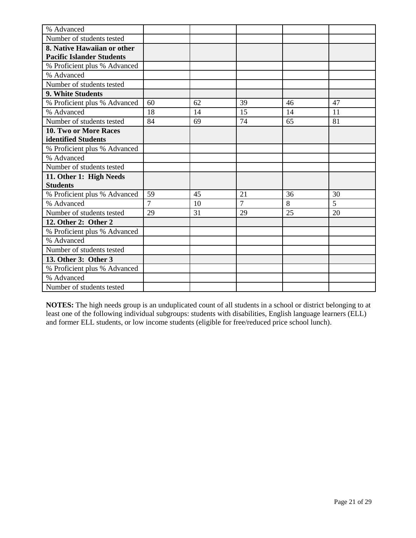| % Advanced                       |    |    |                |    |    |
|----------------------------------|----|----|----------------|----|----|
| Number of students tested        |    |    |                |    |    |
| 8. Native Hawaiian or other      |    |    |                |    |    |
| <b>Pacific Islander Students</b> |    |    |                |    |    |
| % Proficient plus % Advanced     |    |    |                |    |    |
| % Advanced                       |    |    |                |    |    |
| Number of students tested        |    |    |                |    |    |
| 9. White Students                |    |    |                |    |    |
| % Proficient plus % Advanced     | 60 | 62 | 39             | 46 | 47 |
| % Advanced                       | 18 | 14 | 15             | 14 | 11 |
| Number of students tested        | 84 | 69 | 74             | 65 | 81 |
| 10. Two or More Races            |    |    |                |    |    |
| identified Students              |    |    |                |    |    |
| % Proficient plus % Advanced     |    |    |                |    |    |
| % Advanced                       |    |    |                |    |    |
| Number of students tested        |    |    |                |    |    |
| 11. Other 1: High Needs          |    |    |                |    |    |
| <b>Students</b>                  |    |    |                |    |    |
| % Proficient plus % Advanced     | 59 | 45 | 21             | 36 | 30 |
| % Advanced                       | 7  | 10 | $\overline{7}$ | 8  | 5  |
| Number of students tested        | 29 | 31 | 29             | 25 | 20 |
| 12. Other 2: Other 2             |    |    |                |    |    |
| % Proficient plus % Advanced     |    |    |                |    |    |
| % Advanced                       |    |    |                |    |    |
| Number of students tested        |    |    |                |    |    |
| 13. Other 3: Other 3             |    |    |                |    |    |
| % Proficient plus % Advanced     |    |    |                |    |    |
| % Advanced                       |    |    |                |    |    |
| Number of students tested        |    |    |                |    |    |

**NOTES:** The high needs group is an unduplicated count of all students in a school or district belonging to at least one of the following individual subgroups: students with disabilities, English language learners (ELL) and former ELL students, or low income students (eligible for free/reduced price school lunch).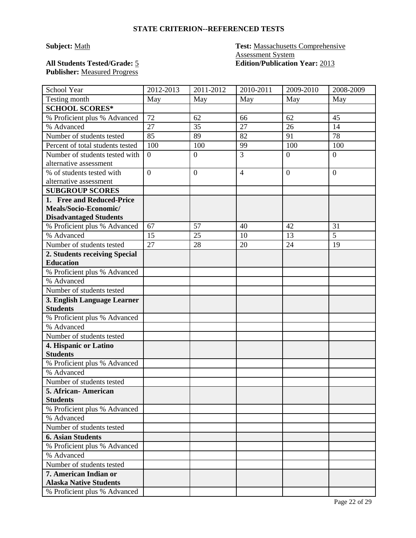# **Publisher:** Measured Progress

## **Subject:** Math **Test:** Massachusetts Comprehensive Assessment System **All Students Tested/Grade:** 5 **Edition/Publication Year:** 2013

| School Year                      | 2012-2013        | 2011-2012        | 2010-2011      | 2009-2010      | 2008-2009        |
|----------------------------------|------------------|------------------|----------------|----------------|------------------|
| Testing month                    | May              | May              | May            | May            | May              |
| <b>SCHOOL SCORES*</b>            |                  |                  |                |                |                  |
| % Proficient plus % Advanced     | 72               | 62               | 66             | 62             | 45               |
| % Advanced                       | 27               | 35               | 27             | 26             | 14               |
| Number of students tested        | 85               | 89               | 82             | 91             | 78               |
| Percent of total students tested | 100              | 100              | 99             | 100            | 100              |
| Number of students tested with   | $\boldsymbol{0}$ | $\boldsymbol{0}$ | $\overline{3}$ | $\overline{0}$ | $\boldsymbol{0}$ |
| alternative assessment           |                  |                  |                |                |                  |
| % of students tested with        | $\overline{0}$   | $\overline{0}$   | $\overline{4}$ | $\overline{0}$ | $\overline{0}$   |
| alternative assessment           |                  |                  |                |                |                  |
| <b>SUBGROUP SCORES</b>           |                  |                  |                |                |                  |
| 1. Free and Reduced-Price        |                  |                  |                |                |                  |
| Meals/Socio-Economic/            |                  |                  |                |                |                  |
| <b>Disadvantaged Students</b>    |                  |                  |                |                |                  |
| % Proficient plus % Advanced     | 67               | 57               | 40             | 42             | 31               |
| % Advanced                       | 15               | 25               | 10             | 13             | $\overline{5}$   |
| Number of students tested        | 27               | 28               | 20             | 24             | 19               |
| 2. Students receiving Special    |                  |                  |                |                |                  |
| <b>Education</b>                 |                  |                  |                |                |                  |
| % Proficient plus % Advanced     |                  |                  |                |                |                  |
| % Advanced                       |                  |                  |                |                |                  |
| Number of students tested        |                  |                  |                |                |                  |
| 3. English Language Learner      |                  |                  |                |                |                  |
| <b>Students</b>                  |                  |                  |                |                |                  |
| % Proficient plus % Advanced     |                  |                  |                |                |                  |
| % Advanced                       |                  |                  |                |                |                  |
| Number of students tested        |                  |                  |                |                |                  |
| 4. Hispanic or Latino            |                  |                  |                |                |                  |
| <b>Students</b>                  |                  |                  |                |                |                  |
| % Proficient plus % Advanced     |                  |                  |                |                |                  |
| % Advanced                       |                  |                  |                |                |                  |
| Number of students tested        |                  |                  |                |                |                  |
| 5. African-American              |                  |                  |                |                |                  |
| <b>Students</b>                  |                  |                  |                |                |                  |
| % Proficient plus % Advanced     |                  |                  |                |                |                  |
| % Advanced                       |                  |                  |                |                |                  |
| Number of students tested        |                  |                  |                |                |                  |
| <b>6. Asian Students</b>         |                  |                  |                |                |                  |
| % Proficient plus % Advanced     |                  |                  |                |                |                  |
| % Advanced                       |                  |                  |                |                |                  |
| Number of students tested        |                  |                  |                |                |                  |
| 7. American Indian or            |                  |                  |                |                |                  |
| <b>Alaska Native Students</b>    |                  |                  |                |                |                  |
| % Proficient plus % Advanced     |                  |                  |                |                |                  |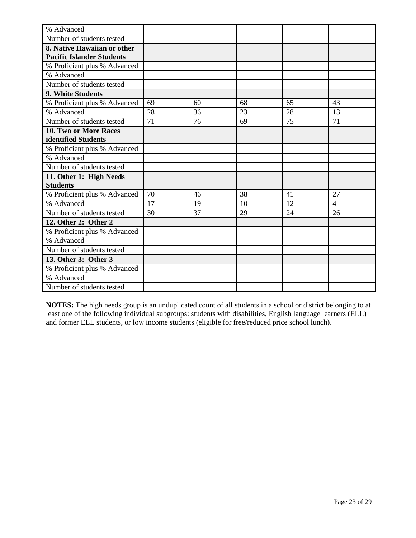| % Advanced                       |    |    |    |    |                |
|----------------------------------|----|----|----|----|----------------|
| Number of students tested        |    |    |    |    |                |
| 8. Native Hawaiian or other      |    |    |    |    |                |
| <b>Pacific Islander Students</b> |    |    |    |    |                |
| % Proficient plus % Advanced     |    |    |    |    |                |
| % Advanced                       |    |    |    |    |                |
| Number of students tested        |    |    |    |    |                |
| 9. White Students                |    |    |    |    |                |
| % Proficient plus % Advanced     | 69 | 60 | 68 | 65 | 43             |
| % Advanced                       | 28 | 36 | 23 | 28 | 13             |
| Number of students tested        | 71 | 76 | 69 | 75 | 71             |
| 10. Two or More Races            |    |    |    |    |                |
| identified Students              |    |    |    |    |                |
| % Proficient plus % Advanced     |    |    |    |    |                |
| % Advanced                       |    |    |    |    |                |
| Number of students tested        |    |    |    |    |                |
| 11. Other 1: High Needs          |    |    |    |    |                |
| <b>Students</b>                  |    |    |    |    |                |
| % Proficient plus % Advanced     | 70 | 46 | 38 | 41 | 27             |
| % Advanced                       | 17 | 19 | 10 | 12 | $\overline{4}$ |
| Number of students tested        | 30 | 37 | 29 | 24 | 26             |
| 12. Other 2: Other 2             |    |    |    |    |                |
| % Proficient plus % Advanced     |    |    |    |    |                |
| % Advanced                       |    |    |    |    |                |
| Number of students tested        |    |    |    |    |                |
| 13. Other 3: Other 3             |    |    |    |    |                |
| % Proficient plus % Advanced     |    |    |    |    |                |
| % Advanced                       |    |    |    |    |                |
| Number of students tested        |    |    |    |    |                |

**NOTES:** The high needs group is an unduplicated count of all students in a school or district belonging to at least one of the following individual subgroups: students with disabilities, English language learners (ELL) and former ELL students, or low income students (eligible for free/reduced price school lunch).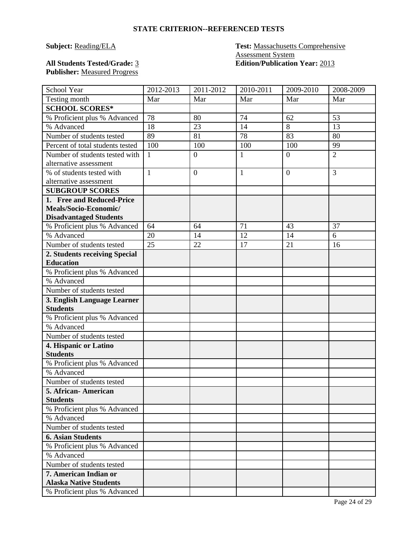## **Subject: Reading/ELA Test: Massachusetts Comprehensive** Assessment System **All Students Tested/Grade:** 3 **Edition/Publication Year:** 2013

**Publisher:** Measured Progress

| School Year                                              | 2012-2013    | 2011-2012      | 2010-2011    | 2009-2010      | 2008-2009      |
|----------------------------------------------------------|--------------|----------------|--------------|----------------|----------------|
| Testing month                                            | Mar          | Mar            | Mar          | Mar            | Mar            |
| <b>SCHOOL SCORES*</b>                                    |              |                |              |                |                |
| % Proficient plus % Advanced                             | 78           | 80             | 74           | 62             | 53             |
| % Advanced                                               | 18           | 23             | 14           | 8              | 13             |
| Number of students tested                                | 89           | 81             | 78           | 83             | 80             |
| Percent of total students tested                         | 100          | 100            | 100          | 100            | 99             |
| Number of students tested with<br>alternative assessment | $\mathbf{1}$ | $\mathbf{0}$   | $\mathbf{1}$ | $\overline{0}$ | $\overline{2}$ |
| % of students tested with                                | $\mathbf{1}$ | $\overline{0}$ | 1            | $\overline{0}$ | 3              |
| alternative assessment                                   |              |                |              |                |                |
| <b>SUBGROUP SCORES</b>                                   |              |                |              |                |                |
| 1. Free and Reduced-Price                                |              |                |              |                |                |
| Meals/Socio-Economic/                                    |              |                |              |                |                |
| <b>Disadvantaged Students</b>                            |              |                |              |                |                |
| % Proficient plus % Advanced                             | 64           | 64             | 71           | 43             | 37             |
| % Advanced                                               | 20           | 14             | 12           | 14             | 6              |
| Number of students tested                                | 25           | 22             | 17           | 21             | 16             |
| 2. Students receiving Special                            |              |                |              |                |                |
| <b>Education</b>                                         |              |                |              |                |                |
| % Proficient plus % Advanced                             |              |                |              |                |                |
| % Advanced                                               |              |                |              |                |                |
| Number of students tested                                |              |                |              |                |                |
| 3. English Language Learner                              |              |                |              |                |                |
| <b>Students</b>                                          |              |                |              |                |                |
| % Proficient plus % Advanced                             |              |                |              |                |                |
| % Advanced                                               |              |                |              |                |                |
| Number of students tested                                |              |                |              |                |                |
| 4. Hispanic or Latino                                    |              |                |              |                |                |
| <b>Students</b>                                          |              |                |              |                |                |
| % Proficient plus % Advanced                             |              |                |              |                |                |
| % Advanced                                               |              |                |              |                |                |
| Number of students tested                                |              |                |              |                |                |
| 5. African-American                                      |              |                |              |                |                |
| <b>Students</b>                                          |              |                |              |                |                |
| % Proficient plus % Advanced                             |              |                |              |                |                |
| % Advanced                                               |              |                |              |                |                |
| Number of students tested                                |              |                |              |                |                |
| <b>6. Asian Students</b>                                 |              |                |              |                |                |
| % Proficient plus % Advanced                             |              |                |              |                |                |
| % Advanced                                               |              |                |              |                |                |
| Number of students tested                                |              |                |              |                |                |
| 7. American Indian or<br><b>Alaska Native Students</b>   |              |                |              |                |                |
| % Proficient plus % Advanced                             |              |                |              |                |                |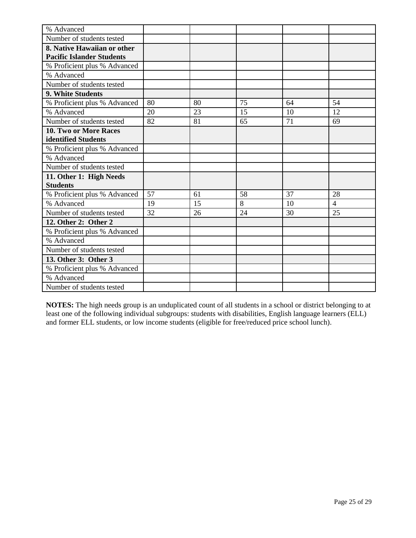| % Advanced                       |    |    |    |    |                |
|----------------------------------|----|----|----|----|----------------|
| Number of students tested        |    |    |    |    |                |
| 8. Native Hawaiian or other      |    |    |    |    |                |
| <b>Pacific Islander Students</b> |    |    |    |    |                |
| % Proficient plus % Advanced     |    |    |    |    |                |
| % Advanced                       |    |    |    |    |                |
| Number of students tested        |    |    |    |    |                |
| 9. White Students                |    |    |    |    |                |
| % Proficient plus % Advanced     | 80 | 80 | 75 | 64 | 54             |
| % Advanced                       | 20 | 23 | 15 | 10 | 12             |
| Number of students tested        | 82 | 81 | 65 | 71 | 69             |
| 10. Two or More Races            |    |    |    |    |                |
| identified Students              |    |    |    |    |                |
| % Proficient plus % Advanced     |    |    |    |    |                |
| % Advanced                       |    |    |    |    |                |
| Number of students tested        |    |    |    |    |                |
| 11. Other 1: High Needs          |    |    |    |    |                |
| <b>Students</b>                  |    |    |    |    |                |
| % Proficient plus % Advanced     | 57 | 61 | 58 | 37 | 28             |
| % Advanced                       | 19 | 15 | 8  | 10 | $\overline{4}$ |
| Number of students tested        | 32 | 26 | 24 | 30 | 25             |
| 12. Other 2: Other 2             |    |    |    |    |                |
| % Proficient plus % Advanced     |    |    |    |    |                |
| % Advanced                       |    |    |    |    |                |
| Number of students tested        |    |    |    |    |                |
| 13. Other 3: Other 3             |    |    |    |    |                |
| % Proficient plus % Advanced     |    |    |    |    |                |
| % Advanced                       |    |    |    |    |                |
| Number of students tested        |    |    |    |    |                |

**NOTES:** The high needs group is an unduplicated count of all students in a school or district belonging to at least one of the following individual subgroups: students with disabilities, English language learners (ELL) and former ELL students, or low income students (eligible for free/reduced price school lunch).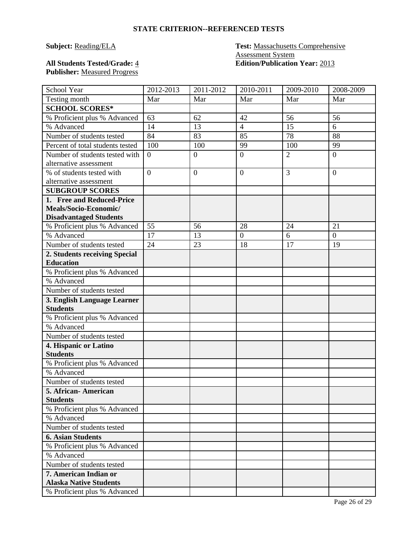## **Subject: Reading/ELA Test: Massachusetts Comprehensive** Assessment System **All Students Tested/Grade:** 4 **Edition/Publication Year:** 2013

# **Publisher:** Measured Progress

| School Year                      | 2012-2013      | 2011-2012      | 2010-2011        | 2009-2010      | 2008-2009      |
|----------------------------------|----------------|----------------|------------------|----------------|----------------|
| Testing month                    | Mar            | Mar            | Mar              | Mar            | Mar            |
| <b>SCHOOL SCORES*</b>            |                |                |                  |                |                |
| % Proficient plus % Advanced     | 63             | 62             | 42               | 56             | 56             |
| % Advanced                       | 14             | 13             | $\overline{4}$   | 15             | 6              |
| Number of students tested        | 84             | 83             | 85               | 78             | 88             |
| Percent of total students tested | 100            | 100            | 99               | 100            | 99             |
| Number of students tested with   | $\overline{0}$ | $\overline{0}$ | $\overline{0}$   | $\overline{2}$ | $\overline{0}$ |
| alternative assessment           |                |                |                  |                |                |
| % of students tested with        | $\overline{0}$ | $\overline{0}$ | $\overline{0}$   | $\overline{3}$ | $\overline{0}$ |
| alternative assessment           |                |                |                  |                |                |
| <b>SUBGROUP SCORES</b>           |                |                |                  |                |                |
| 1. Free and Reduced-Price        |                |                |                  |                |                |
| Meals/Socio-Economic/            |                |                |                  |                |                |
| <b>Disadvantaged Students</b>    |                |                |                  |                |                |
| % Proficient plus % Advanced     | 55             | 56             | 28               | 24             | 21             |
| % Advanced                       | 17             | 13             | $\boldsymbol{0}$ | 6              | $\overline{0}$ |
| Number of students tested        | 24             | 23             | 18               | 17             | 19             |
| 2. Students receiving Special    |                |                |                  |                |                |
| <b>Education</b>                 |                |                |                  |                |                |
| % Proficient plus % Advanced     |                |                |                  |                |                |
| % Advanced                       |                |                |                  |                |                |
| Number of students tested        |                |                |                  |                |                |
| 3. English Language Learner      |                |                |                  |                |                |
| <b>Students</b>                  |                |                |                  |                |                |
| % Proficient plus % Advanced     |                |                |                  |                |                |
| % Advanced                       |                |                |                  |                |                |
| Number of students tested        |                |                |                  |                |                |
| 4. Hispanic or Latino            |                |                |                  |                |                |
| <b>Students</b>                  |                |                |                  |                |                |
| % Proficient plus % Advanced     |                |                |                  |                |                |
| % Advanced                       |                |                |                  |                |                |
| Number of students tested        |                |                |                  |                |                |
| 5. African-American              |                |                |                  |                |                |
| <b>Students</b>                  |                |                |                  |                |                |
| % Proficient plus % Advanced     |                |                |                  |                |                |
| % Advanced                       |                |                |                  |                |                |
| Number of students tested        |                |                |                  |                |                |
| <b>6. Asian Students</b>         |                |                |                  |                |                |
| % Proficient plus % Advanced     |                |                |                  |                |                |
| % Advanced                       |                |                |                  |                |                |
| Number of students tested        |                |                |                  |                |                |
| 7. American Indian or            |                |                |                  |                |                |
| <b>Alaska Native Students</b>    |                |                |                  |                |                |
| % Proficient plus % Advanced     |                |                |                  |                |                |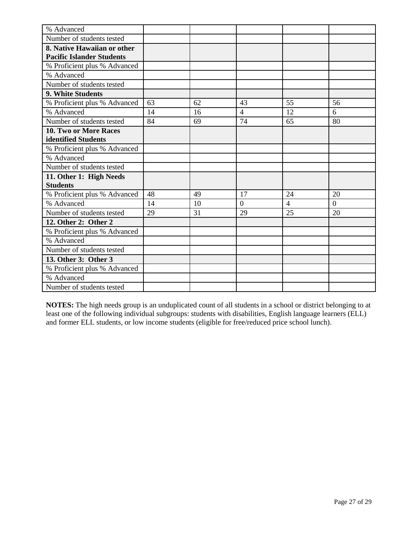| % Advanced                       |    |    |                |                |                |
|----------------------------------|----|----|----------------|----------------|----------------|
| Number of students tested        |    |    |                |                |                |
| 8. Native Hawaiian or other      |    |    |                |                |                |
| <b>Pacific Islander Students</b> |    |    |                |                |                |
| % Proficient plus % Advanced     |    |    |                |                |                |
| % Advanced                       |    |    |                |                |                |
| Number of students tested        |    |    |                |                |                |
| 9. White Students                |    |    |                |                |                |
| % Proficient plus % Advanced     | 63 | 62 | 43             | 55             | 56             |
| % Advanced                       | 14 | 16 | $\overline{4}$ | 12             | 6              |
| Number of students tested        | 84 | 69 | 74             | 65             | 80             |
| 10. Two or More Races            |    |    |                |                |                |
| identified Students              |    |    |                |                |                |
| % Proficient plus % Advanced     |    |    |                |                |                |
| % Advanced                       |    |    |                |                |                |
| Number of students tested        |    |    |                |                |                |
| 11. Other 1: High Needs          |    |    |                |                |                |
| <b>Students</b>                  |    |    |                |                |                |
| % Proficient plus % Advanced     | 48 | 49 | 17             | 24             | 20             |
| % Advanced                       | 14 | 10 | $\overline{0}$ | $\overline{4}$ | $\overline{0}$ |
| Number of students tested        | 29 | 31 | 29             | 25             | 20             |
| 12. Other 2: Other 2             |    |    |                |                |                |
| % Proficient plus % Advanced     |    |    |                |                |                |
| % Advanced                       |    |    |                |                |                |
| Number of students tested        |    |    |                |                |                |
| 13. Other 3: Other 3             |    |    |                |                |                |
| % Proficient plus % Advanced     |    |    |                |                |                |
| % Advanced                       |    |    |                |                |                |
| Number of students tested        |    |    |                |                |                |

**NOTES:** The high needs group is an unduplicated count of all students in a school or district belonging to at least one of the following individual subgroups: students with disabilities, English language learners (ELL) and former ELL students, or low income students (eligible for free/reduced price school lunch).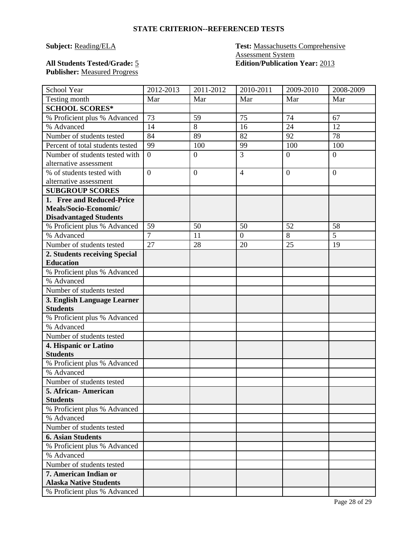## **Subject: Reading/ELA Test: Massachusetts Comprehensive** Assessment System **All Students Tested/Grade:** 5 **Edition/Publication Year:** 2013

**Publisher:** Measured Progress

| School Year                      | 2012-2013        | 2011-2012        | 2010-2011        | 2009-2010        | 2008-2009        |
|----------------------------------|------------------|------------------|------------------|------------------|------------------|
| Testing month                    | Mar              | Mar              | Mar              | Mar              | Mar              |
| <b>SCHOOL SCORES*</b>            |                  |                  |                  |                  |                  |
| % Proficient plus % Advanced     | 73               | 59               | 75               | 74               | 67               |
| % Advanced                       | 14               | 8                | 16               | 24               | 12               |
| Number of students tested        | 84               | 89               | 82               | 92               | 78               |
| Percent of total students tested | 99               | 100              | 99               | 100              | 100              |
| Number of students tested with   | $\boldsymbol{0}$ | $\boldsymbol{0}$ | 3                | $\boldsymbol{0}$ | $\boldsymbol{0}$ |
| alternative assessment           |                  |                  |                  |                  |                  |
| % of students tested with        | $\overline{0}$   | $\mathbf{0}$     | $\overline{4}$   | $\overline{0}$   | $\overline{0}$   |
| alternative assessment           |                  |                  |                  |                  |                  |
| <b>SUBGROUP SCORES</b>           |                  |                  |                  |                  |                  |
| 1. Free and Reduced-Price        |                  |                  |                  |                  |                  |
| Meals/Socio-Economic/            |                  |                  |                  |                  |                  |
| <b>Disadvantaged Students</b>    |                  |                  |                  |                  |                  |
| % Proficient plus % Advanced     | 59               | 50               | 50               | 52               | 58               |
| % Advanced                       | $\overline{7}$   | 11               | $\boldsymbol{0}$ | 8                | $\overline{5}$   |
| Number of students tested        | 27               | 28               | 20               | 25               | 19               |
| 2. Students receiving Special    |                  |                  |                  |                  |                  |
| <b>Education</b>                 |                  |                  |                  |                  |                  |
| % Proficient plus % Advanced     |                  |                  |                  |                  |                  |
| % Advanced                       |                  |                  |                  |                  |                  |
| Number of students tested        |                  |                  |                  |                  |                  |
| 3. English Language Learner      |                  |                  |                  |                  |                  |
| <b>Students</b>                  |                  |                  |                  |                  |                  |
| % Proficient plus % Advanced     |                  |                  |                  |                  |                  |
| % Advanced                       |                  |                  |                  |                  |                  |
| Number of students tested        |                  |                  |                  |                  |                  |
| 4. Hispanic or Latino            |                  |                  |                  |                  |                  |
| <b>Students</b>                  |                  |                  |                  |                  |                  |
| % Proficient plus % Advanced     |                  |                  |                  |                  |                  |
| % Advanced                       |                  |                  |                  |                  |                  |
| Number of students tested        |                  |                  |                  |                  |                  |
| 5. African-American              |                  |                  |                  |                  |                  |
| <b>Students</b>                  |                  |                  |                  |                  |                  |
| % Proficient plus % Advanced     |                  |                  |                  |                  |                  |
| % Advanced                       |                  |                  |                  |                  |                  |
| Number of students tested        |                  |                  |                  |                  |                  |
| <b>6. Asian Students</b>         |                  |                  |                  |                  |                  |
| % Proficient plus % Advanced     |                  |                  |                  |                  |                  |
| % Advanced                       |                  |                  |                  |                  |                  |
| Number of students tested        |                  |                  |                  |                  |                  |
| 7. American Indian or            |                  |                  |                  |                  |                  |
| <b>Alaska Native Students</b>    |                  |                  |                  |                  |                  |
| % Proficient plus % Advanced     |                  |                  |                  |                  |                  |